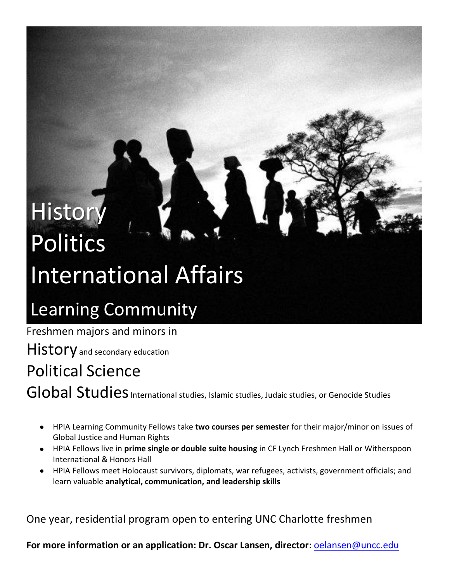# **History** Politics International Affairs

## Learning Community

Freshmen majors and minors in

**History** and secondary education

### Political Science

Global Studies International studies, Islamic studies, Judaic studies, or Genocide Studies

- HPIA Learning Community Fellows take **two courses per semester** for their major/minor on issues of Global Justice and Human Rights
- HPIA Fellows live in **prime single or double suite housing** in CF Lynch Freshmen Hall or Witherspoon International & Honors Hall
- HPIA Fellows meet Holocaust survivors, diplomats, war refugees, activists, government officials; and learn valuable **analytical, communication, and leadership skills**

One year, residential program open to entering UNC Charlotte freshmen

**For more information or an application: Dr. Oscar Lansen, director**: [oelansen@uncc.edu](mailto:oelansen@uncc.edu)